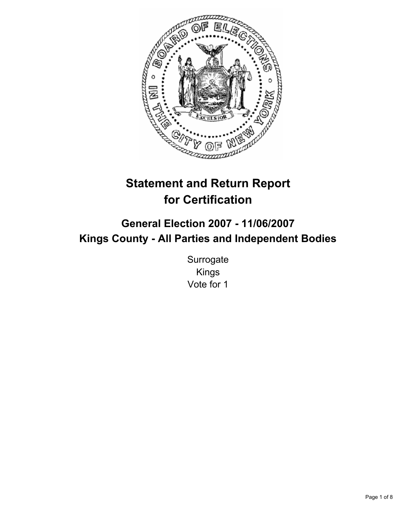

# **Statement and Return Report for Certification**

## **General Election 2007 - 11/06/2007 Kings County - All Parties and Independent Bodies**

**Surrogate** Kings Vote for 1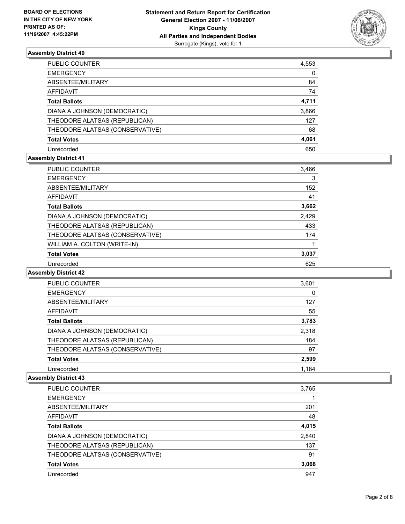

| PUBLIC COUNTER                  | 4,553 |
|---------------------------------|-------|
| <b>EMERGENCY</b>                | 0     |
| ABSENTEE/MILITARY               | 84    |
| AFFIDAVIT                       | 74    |
| <b>Total Ballots</b>            | 4,711 |
| DIANA A JOHNSON (DEMOCRATIC)    | 3,866 |
| THEODORE ALATSAS (REPUBLICAN)   | 127   |
| THEODORE ALATSAS (CONSERVATIVE) | 68    |
| <b>Total Votes</b>              | 4,061 |
| Unrecorded                      | 650   |

## **Assembly District 41**

| <b>PUBLIC COUNTER</b>           | 3,466 |  |
|---------------------------------|-------|--|
| <b>EMERGENCY</b>                | 3     |  |
| ABSENTEE/MILITARY               | 152   |  |
| AFFIDAVIT                       | 41    |  |
| <b>Total Ballots</b>            | 3,662 |  |
| DIANA A JOHNSON (DEMOCRATIC)    | 2,429 |  |
| THEODORE ALATSAS (REPUBLICAN)   | 433   |  |
| THEODORE ALATSAS (CONSERVATIVE) | 174   |  |
| WILLIAM A. COLTON (WRITE-IN)    |       |  |
| <b>Total Votes</b>              | 3,037 |  |
| Unrecorded                      | 625   |  |

## **Assembly District 42**

| <b>PUBLIC COUNTER</b>           | 3,601 |  |
|---------------------------------|-------|--|
| <b>EMERGENCY</b>                | 0     |  |
| ABSENTEE/MILITARY               | 127   |  |
| AFFIDAVIT                       | 55    |  |
| <b>Total Ballots</b>            | 3,783 |  |
| DIANA A JOHNSON (DEMOCRATIC)    | 2,318 |  |
| THEODORE ALATSAS (REPUBLICAN)   | 184   |  |
| THEODORE ALATSAS (CONSERVATIVE) | 97    |  |
| <b>Total Votes</b>              | 2,599 |  |
| Unrecorded                      | 1.184 |  |

| <b>PUBLIC COUNTER</b>           | 3,765 |
|---------------------------------|-------|
| <b>EMERGENCY</b>                |       |
| ABSENTEE/MILITARY               | 201   |
| AFFIDAVIT                       | 48    |
| <b>Total Ballots</b>            | 4,015 |
| DIANA A JOHNSON (DEMOCRATIC)    | 2,840 |
| THEODORE ALATSAS (REPUBLICAN)   | 137   |
| THEODORE ALATSAS (CONSERVATIVE) | 91    |
| <b>Total Votes</b>              | 3,068 |
| Unrecorded                      | 947   |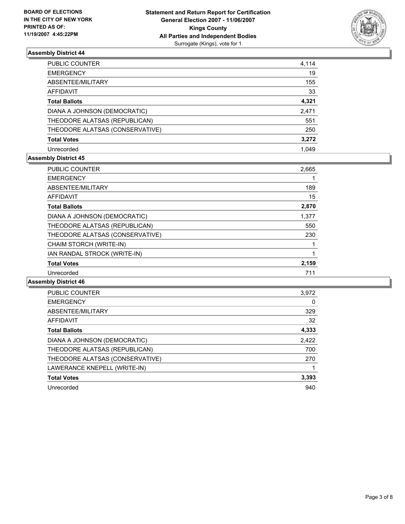

| PUBLIC COUNTER                  | 4,114 |
|---------------------------------|-------|
| <b>EMERGENCY</b>                | 19    |
| ABSENTEE/MILITARY               | 155   |
| <b>AFFIDAVIT</b>                | 33    |
| <b>Total Ballots</b>            | 4,321 |
| DIANA A JOHNSON (DEMOCRATIC)    | 2,471 |
| THEODORE ALATSAS (REPUBLICAN)   | 551   |
| THEODORE ALATSAS (CONSERVATIVE) | 250   |
| <b>Total Votes</b>              | 3,272 |
| Unrecorded                      | 1.049 |

## **Assembly District 45**

| PUBLIC COUNTER                  | 2,665 |
|---------------------------------|-------|
| <b>EMERGENCY</b>                |       |
| ABSENTEE/MILITARY               | 189   |
| <b>AFFIDAVIT</b>                | 15    |
| <b>Total Ballots</b>            | 2,870 |
| DIANA A JOHNSON (DEMOCRATIC)    | 1,377 |
| THEODORE ALATSAS (REPUBLICAN)   | 550   |
| THEODORE ALATSAS (CONSERVATIVE) | 230   |
| CHAIM STORCH (WRITE-IN)         |       |
| IAN RANDAL STROCK (WRITE-IN)    |       |
| <b>Total Votes</b>              | 2,159 |
| Unrecorded                      | 711   |

| PUBLIC COUNTER                  | 3,972 |
|---------------------------------|-------|
| <b>EMERGENCY</b>                | 0     |
| ABSENTEE/MILITARY               | 329   |
| AFFIDAVIT                       | 32    |
| <b>Total Ballots</b>            | 4,333 |
| DIANA A JOHNSON (DEMOCRATIC)    | 2,422 |
| THEODORE ALATSAS (REPUBLICAN)   | 700   |
| THEODORE ALATSAS (CONSERVATIVE) | 270   |
| LAWERANCE KNEPELL (WRITE-IN)    |       |
| <b>Total Votes</b>              | 3,393 |
| Unrecorded                      | 940   |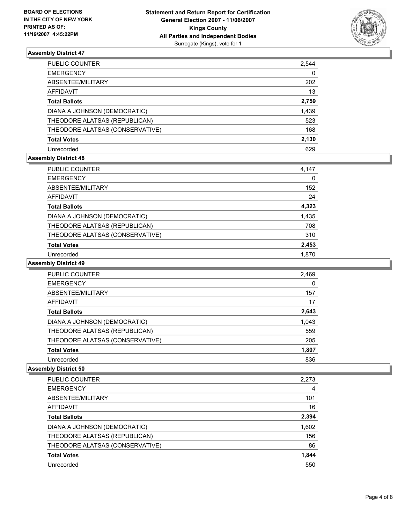

| PUBLIC COUNTER                  | 2,544 |
|---------------------------------|-------|
| <b>EMERGENCY</b>                | 0     |
| ABSENTEE/MILITARY               | 202   |
| <b>AFFIDAVIT</b>                | 13    |
| <b>Total Ballots</b>            | 2,759 |
| DIANA A JOHNSON (DEMOCRATIC)    | 1,439 |
| THEODORE ALATSAS (REPUBLICAN)   | 523   |
| THEODORE ALATSAS (CONSERVATIVE) | 168   |
| <b>Total Votes</b>              | 2,130 |
| Unrecorded                      | 629   |

## **Assembly District 48**

| <b>PUBLIC COUNTER</b>           | 4,147 |  |
|---------------------------------|-------|--|
| <b>EMERGENCY</b>                | 0     |  |
| ABSENTEE/MILITARY               | 152   |  |
| AFFIDAVIT                       | 24    |  |
| <b>Total Ballots</b>            | 4,323 |  |
| DIANA A JOHNSON (DEMOCRATIC)    | 1,435 |  |
| THEODORE ALATSAS (REPUBLICAN)   | 708   |  |
| THEODORE ALATSAS (CONSERVATIVE) | 310   |  |
| <b>Total Votes</b>              | 2,453 |  |
| Unrecorded                      | 1.870 |  |

#### **Assembly District 49**

| PUBLIC COUNTER                  | 2,469 |
|---------------------------------|-------|
| <b>EMERGENCY</b>                |       |
| ABSENTEE/MILITARY               | 157   |
| AFFIDAVIT                       | 17    |
| <b>Total Ballots</b>            | 2,643 |
| DIANA A JOHNSON (DEMOCRATIC)    | 1,043 |
| THEODORE ALATSAS (REPUBLICAN)   | 559   |
| THEODORE ALATSAS (CONSERVATIVE) | 205   |
| <b>Total Votes</b>              | 1,807 |
| Unrecorded                      | 836   |

| <b>PUBLIC COUNTER</b>           | 2,273 |
|---------------------------------|-------|
| <b>EMERGENCY</b>                |       |
| ABSENTEE/MILITARY               | 101   |
| AFFIDAVIT                       | 16    |
| <b>Total Ballots</b>            | 2,394 |
| DIANA A JOHNSON (DEMOCRATIC)    | 1,602 |
| THEODORE ALATSAS (REPUBLICAN)   | 156   |
| THEODORE ALATSAS (CONSERVATIVE) | 86    |
| <b>Total Votes</b>              | 1,844 |
| Unrecorded                      | 550   |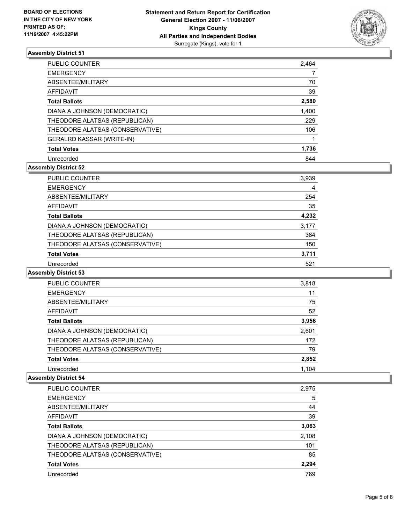

| <b>PUBLIC COUNTER</b>           | 2,464 |
|---------------------------------|-------|
| <b>EMERGENCY</b>                |       |
| ABSENTEE/MILITARY               | 70    |
| AFFIDAVIT                       | 39    |
| <b>Total Ballots</b>            | 2,580 |
| DIANA A JOHNSON (DEMOCRATIC)    | 1,400 |
| THEODORE ALATSAS (REPUBLICAN)   | 229   |
| THEODORE ALATSAS (CONSERVATIVE) | 106   |
| GERALRD KASSAR (WRITE-IN)       |       |
| <b>Total Votes</b>              | 1,736 |
| Unrecorded                      | 844   |

## **Assembly District 52**

| <b>PUBLIC COUNTER</b>           | 3,939 |
|---------------------------------|-------|
| <b>EMERGENCY</b>                | 4     |
| ABSENTEE/MILITARY               | 254   |
| AFFIDAVIT                       | 35    |
| <b>Total Ballots</b>            | 4,232 |
| DIANA A JOHNSON (DEMOCRATIC)    | 3,177 |
| THEODORE ALATSAS (REPUBLICAN)   | 384   |
| THEODORE ALATSAS (CONSERVATIVE) | 150   |
| <b>Total Votes</b>              | 3,711 |
| Unrecorded                      | 521   |

## **Assembly District 53**

| PUBLIC COUNTER                  | 3,818 |  |
|---------------------------------|-------|--|
| <b>EMERGENCY</b>                | 11    |  |
| ABSENTEE/MILITARY               | 75    |  |
| <b>AFFIDAVIT</b>                | 52    |  |
| <b>Total Ballots</b>            | 3,956 |  |
| DIANA A JOHNSON (DEMOCRATIC)    | 2,601 |  |
| THEODORE ALATSAS (REPUBLICAN)   | 172   |  |
| THEODORE ALATSAS (CONSERVATIVE) | 79    |  |
| <b>Total Votes</b>              | 2,852 |  |
| Unrecorded                      | 1.104 |  |

| PUBLIC COUNTER                  | 2,975 |
|---------------------------------|-------|
| <b>EMERGENCY</b>                | 5     |
| ABSENTEE/MILITARY               | 44    |
| AFFIDAVIT                       | 39    |
| <b>Total Ballots</b>            | 3,063 |
| DIANA A JOHNSON (DEMOCRATIC)    | 2,108 |
| THEODORE ALATSAS (REPUBLICAN)   | 101   |
| THEODORE ALATSAS (CONSERVATIVE) | 85    |
| <b>Total Votes</b>              | 2,294 |
| Unrecorded                      | 769   |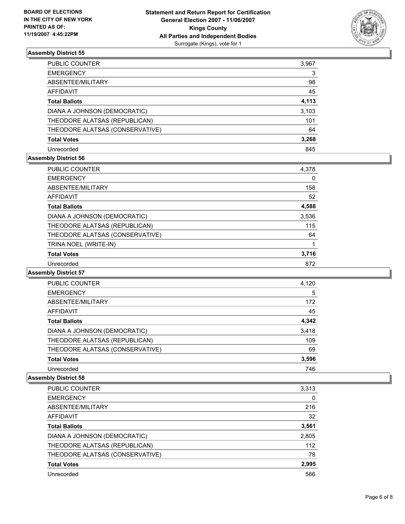

| PUBLIC COUNTER                  | 3,967 |
|---------------------------------|-------|
| <b>EMERGENCY</b>                | 3     |
| ABSENTEE/MILITARY               | 98    |
| AFFIDAVIT                       | 45    |
| <b>Total Ballots</b>            | 4,113 |
| DIANA A JOHNSON (DEMOCRATIC)    | 3,103 |
| THEODORE ALATSAS (REPUBLICAN)   | 101   |
| THEODORE ALATSAS (CONSERVATIVE) | 64    |
| <b>Total Votes</b>              | 3,268 |
| Unrecorded                      | 845   |

## **Assembly District 56**

| <b>PUBLIC COUNTER</b>           | 4,378 |  |
|---------------------------------|-------|--|
| <b>EMERGENCY</b>                | 0     |  |
| ABSENTEE/MILITARY               | 158   |  |
| AFFIDAVIT                       | 52    |  |
| <b>Total Ballots</b>            | 4,588 |  |
| DIANA A JOHNSON (DEMOCRATIC)    | 3,536 |  |
| THEODORE ALATSAS (REPUBLICAN)   | 115   |  |
| THEODORE ALATSAS (CONSERVATIVE) | 64    |  |
| TRINA NOEL (WRITE-IN)           |       |  |
| <b>Total Votes</b>              | 3,716 |  |
| Unrecorded                      | 872   |  |

#### **Assembly District 57**

| PUBLIC COUNTER                  | 4,120 |  |
|---------------------------------|-------|--|
| <b>EMERGENCY</b>                | 5     |  |
| ABSENTEE/MILITARY               | 172   |  |
| <b>AFFIDAVIT</b>                | 45    |  |
| <b>Total Ballots</b>            | 4,342 |  |
| DIANA A JOHNSON (DEMOCRATIC)    | 3,418 |  |
| THEODORE ALATSAS (REPUBLICAN)   | 109   |  |
| THEODORE ALATSAS (CONSERVATIVE) | 69    |  |
| <b>Total Votes</b>              | 3,596 |  |
| Unrecorded                      | 746   |  |

| PUBLIC COUNTER                  | 3,313 |
|---------------------------------|-------|
| <b>EMERGENCY</b>                | 0     |
| ABSENTEE/MILITARY               | 216   |
| AFFIDAVIT                       | 32    |
| <b>Total Ballots</b>            | 3,561 |
| DIANA A JOHNSON (DEMOCRATIC)    | 2,805 |
| THEODORE ALATSAS (REPUBLICAN)   | 112   |
| THEODORE ALATSAS (CONSERVATIVE) | 78    |
| <b>Total Votes</b>              | 2,995 |
| Unrecorded                      | 566   |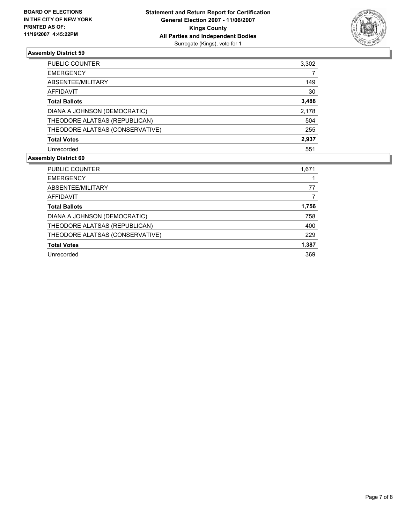

| PUBLIC COUNTER                  | 3,302 |
|---------------------------------|-------|
| <b>EMERGENCY</b>                |       |
| ABSENTEE/MILITARY               | 149   |
| AFFIDAVIT                       | 30    |
| <b>Total Ballots</b>            | 3,488 |
| DIANA A JOHNSON (DEMOCRATIC)    | 2,178 |
| THEODORE ALATSAS (REPUBLICAN)   | 504   |
| THEODORE ALATSAS (CONSERVATIVE) | 255   |
| <b>Total Votes</b>              | 2,937 |
| Unrecorded                      | 551   |

| <b>PUBLIC COUNTER</b>           | 1,671 |
|---------------------------------|-------|
| <b>EMERGENCY</b>                |       |
| ABSENTEE/MILITARY               | 77    |
| AFFIDAVIT                       |       |
| <b>Total Ballots</b>            | 1,756 |
| DIANA A JOHNSON (DEMOCRATIC)    | 758   |
| THEODORE ALATSAS (REPUBLICAN)   | 400   |
| THEODORE ALATSAS (CONSERVATIVE) | 229   |
| <b>Total Votes</b>              | 1,387 |
| Unrecorded                      | 369   |